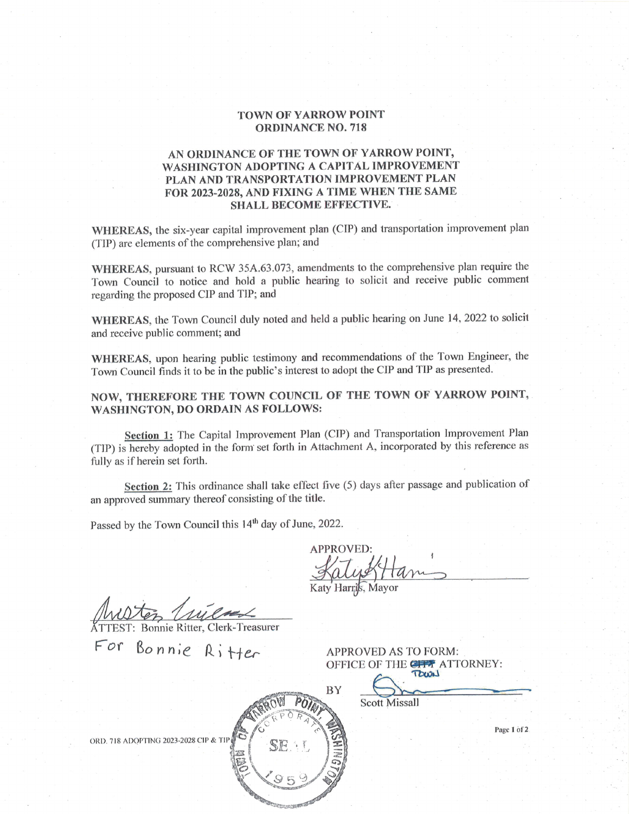### **TOWN OF YARROW POINT ORDINANCE NO. 718**

## AN ORDINANCE OF THE TOWN OF YARROW POINT, WASHINGTON ADOPTING A CAPITAL IMPROVEMENT PLAN AND TRANSPORTATION IMPROVEMENT PLAN FOR 2023-2028, AND FIXING A TIME WHEN THE SAME **SHALL BECOME EFFECTIVE.**

WHEREAS, the six-year capital improvement plan (CIP) and transportation improvement plan (TIP) are elements of the comprehensive plan; and

WHEREAS, pursuant to RCW 35A.63.073, amendments to the comprehensive plan require the Town Council to notice and hold a public hearing to solicit and receive public comment regarding the proposed CIP and TIP; and

WHEREAS, the Town Council duly noted and held a public hearing on June 14, 2022 to solicit and receive public comment; and

WHEREAS, upon hearing public testimony and recommendations of the Town Engineer, the Town Council finds it to be in the public's interest to adopt the CIP and TIP as presented.

NOW, THEREFORE THE TOWN COUNCIL OF THE TOWN OF YARROW POINT, WASHINGTON, DO ORDAIN AS FOLLOWS:

Section 1: The Capital Improvement Plan (CIP) and Transportation Improvement Plan (TIP) is hereby adopted in the form set forth in Attachment A, incorporated by this reference as fully as if herein set forth.

Section 2: This ordinance shall take effect five (5) days after passage and publication of an approved summary thereof consisting of the title.

Passed by the Town Council this 14<sup>th</sup> day of June, 2022.

**APPROVED:** 

Katy Harris, Mayor

EST: Bonnie Ritter, Clerk-Treasurer

For Bonnie Ritter

|  |       |      | BY |  |
|--|-------|------|----|--|
|  |       | POTE |    |  |
|  | RPORT |      |    |  |
|  | SE.   |      |    |  |
|  |       |      |    |  |
|  |       |      |    |  |
|  |       |      |    |  |
|  |       |      |    |  |

APPROVED AS TO FORM: OFFICE OF THE CITY ATTORNEY:  $D(2)$ 

**Scott Missall** 

Page 1 of 2

ORD. 718 ADOPTING 2023-2028 CIP & TI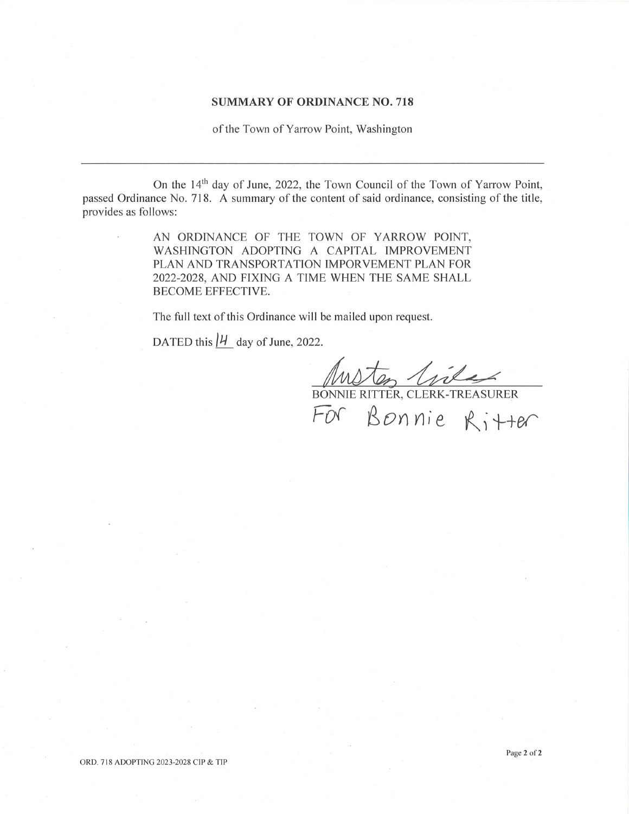# **SUMMARY OF ORDINANCE NO. 718**

of the Town of Yarrow Point, Washington

On the 14<sup>th</sup> day of June, 2022, the Town Council of the Town of Yarrow Point, passed Ordinance No. 718. A summary of the content of said ordinance, consisting of the title, provides as follows:

> AN ORDINANCE OF THE TOWN OF YARROW POINT, WASHINGTON ADOPTING A CAPITAL IMPROVEMENT PLAN AND TRANSPORTATION IMPORVEMENT PLAN FOR 2022-2028, AND FIXING A TIME WHEN THE SAME SHALL **BECOME EFFECTIVE.**

The full text of this Ordinance will be mailed upon request.

DATED this  $|H|$  day of June, 2022.

AND ON THE RICHARD BONNIE RITTER, CLERK-TREASURER

Bonnie Ritter FrN